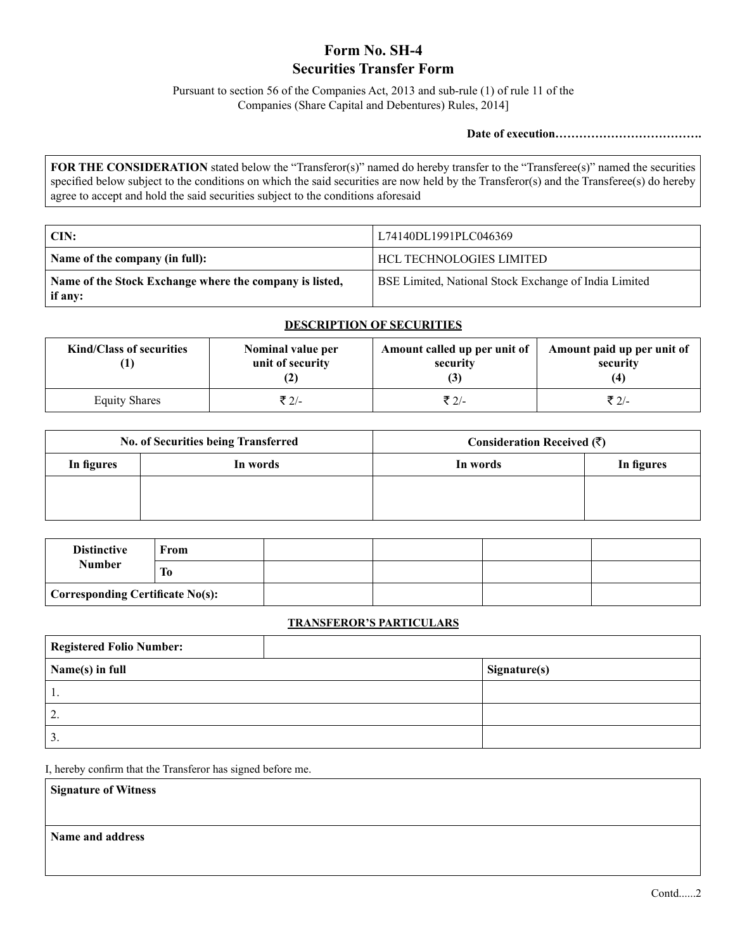# **Form No. SH-4 Securities Transfer Form**

Pursuant to section 56 of the Companies Act, 2013 and sub-rule (1) of rule 11 of the Companies (Share Capital and Debentures) Rules, 2014]

**Date of execution……………………………….**

**FOR THE CONSIDERATION** stated below the "Transferor(s)" named do hereby transfer to the "Transferee(s)" named the securities specified below subject to the conditions on which the said securities are now held by the Transferor(s) and the Transferee(s) do hereby agree to accept and hold the said securities subject to the conditions aforesaid

| CIN:                                                               | L74140DL1991PLC046369                                        |
|--------------------------------------------------------------------|--------------------------------------------------------------|
| Name of the company (in full):                                     | HCL TECHNOLOGIES LIMITED                                     |
| Name of the Stock Exchange where the company is listed,<br>if any: | <b>BSE Limited, National Stock Exchange of India Limited</b> |

| <b>Kind/Class of securities</b> | Nominal value per<br>unit of security | Amount called up per unit of<br>security | Amount paid up per unit of<br>security<br>(4) |
|---------------------------------|---------------------------------------|------------------------------------------|-----------------------------------------------|
| <b>Equity Shares</b>            | ₹ 2/-                                 | ₹ 2/-                                    | ₹ 2/-                                         |

# **DESCRIPTION OF SECURITIES**

| No. of Securities being Transferred |          | Consideration Received $(\overline{\zeta})$ |            |
|-------------------------------------|----------|---------------------------------------------|------------|
| In figures                          | In words | In words                                    | In figures |
|                                     |          |                                             |            |
|                                     |          |                                             |            |

| <b>Distinctive</b><br><b>Number</b> | From |  |  |
|-------------------------------------|------|--|--|
|                                     | Tо   |  |  |
| Corresponding Certificate $No(s)$ : |      |  |  |

### **TRANSFEROR'S PARTICULARS**

| <b>Registered Folio Number:</b> |              |
|---------------------------------|--------------|
| Name(s) in full                 | Signature(s) |
| 1.                              |              |
| C<br>۷,                         |              |
| 3.                              |              |

I, hereby confirm that the Transferor has signed before me.

**Signature of Witness**

**Name and address**